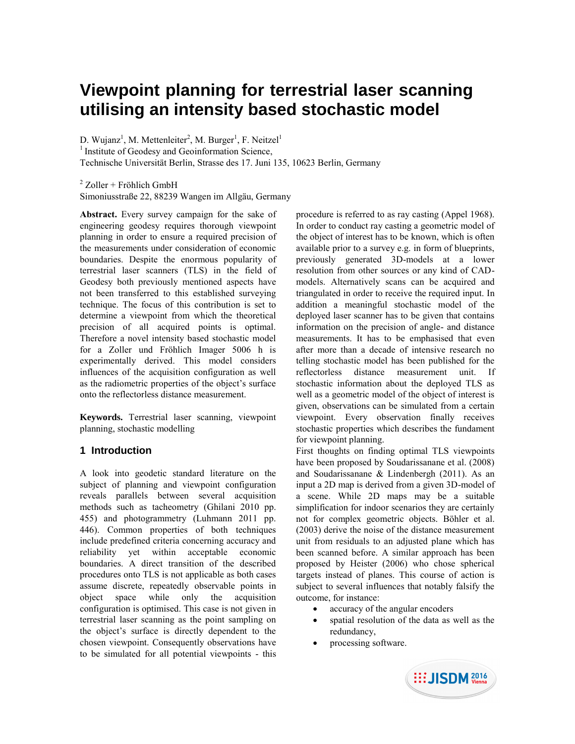# **Viewpoint planning for terrestrial laser scanning utilising an intensity based stochastic model**

D. Wujanz<sup>1</sup>, M. Mettenleiter<sup>2</sup>, M. Burger<sup>1</sup>, F. Neitzel<sup>1</sup>  $<sup>1</sup>$  Institute of Geodesy and Geoinformation Science,</sup> Technische Universität Berlin, Strasse des 17. Juni 135, 10623 Berlin, Germany

<sup>2</sup> Zoller + Fröhlich GmbH

Simoniusstraße 22, 88239 Wangen im Allgäu, Germany

**Abstract.** Every survey campaign for the sake of engineering geodesy requires thorough viewpoint planning in order to ensure a required precision of the measurements under consideration of economic boundaries. Despite the enormous popularity of terrestrial laser scanners (TLS) in the field of Geodesy both previously mentioned aspects have not been transferred to this established surveying technique. The focus of this contribution is set to determine a viewpoint from which the theoretical precision of all acquired points is optimal. Therefore a novel intensity based stochastic model for a Zoller und Fröhlich Imager 5006 h is experimentally derived. This model considers influences of the acquisition configuration as well as the radiometric properties of the object's surface onto the reflectorless distance measurement.

**Keywords.** Terrestrial laser scanning, viewpoint planning, stochastic modelling

## **1 Introduction**

A look into geodetic standard literature on the subject of planning and viewpoint configuration reveals parallels between several acquisition methods such as tacheometry (Ghilani 2010 pp. 455) and photogrammetry (Luhmann 2011 pp. 446). Common properties of both techniques include predefined criteria concerning accuracy and reliability yet within acceptable economic boundaries. A direct transition of the described procedures onto TLS is not applicable as both cases assume discrete, repeatedly observable points in object space while only the acquisition configuration is optimised. This case is not given in terrestrial laser scanning as the point sampling on the object's surface is directly dependent to the chosen viewpoint. Consequently observations have to be simulated for all potential viewpoints - this

procedure is referred to as ray casting (Appel 1968). In order to conduct ray casting a geometric model of the object of interest has to be known, which is often available prior to a survey e.g. in form of blueprints, previously generated 3D-models at a lower resolution from other sources or any kind of CADmodels. Alternatively scans can be acquired and triangulated in order to receive the required input. In addition a meaningful stochastic model of the deployed laser scanner has to be given that contains information on the precision of angle- and distance measurements. It has to be emphasised that even after more than a decade of intensive research no telling stochastic model has been published for the reflectorless distance measurement unit. If stochastic information about the deployed TLS as well as a geometric model of the object of interest is given, observations can be simulated from a certain viewpoint. Every observation finally receives stochastic properties which describes the fundament for viewpoint planning.

First thoughts on finding optimal TLS viewpoints have been proposed by Soudarissanane et al. (2008) and Soudarissanane & Lindenbergh (2011). As an input a 2D map is derived from a given 3D-model of a scene. While 2D maps may be a suitable simplification for indoor scenarios they are certainly not for complex geometric objects. Böhler et al. (2003) derive the noise of the distance measurement unit from residuals to an adjusted plane which has been scanned before. A similar approach has been proposed by Heister (2006) who chose spherical targets instead of planes. This course of action is subject to several influences that notably falsify the outcome, for instance:

- accuracy of the angular encoders
- spatial resolution of the data as well as the redundancy,
- processing software.

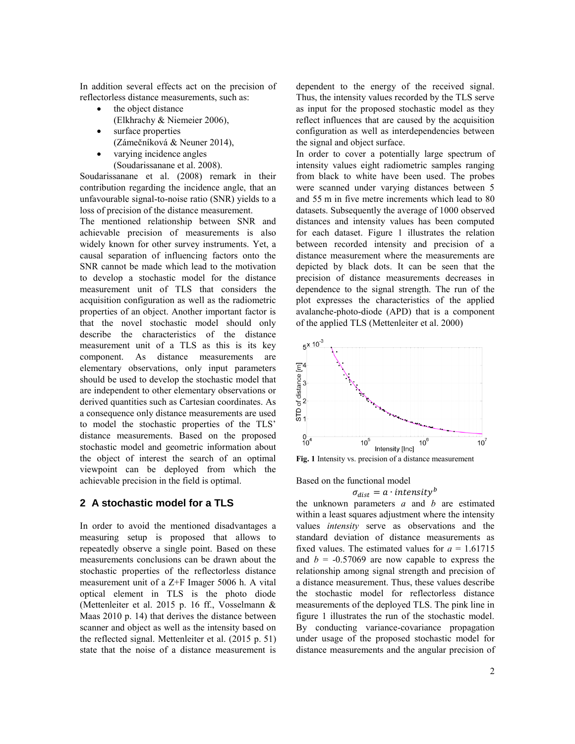In addition several effects act on the precision of reflectorless distance measurements, such as:

- the object distance (Elkhrachy & Niemeier 2006),
- surface properties (Zámečníková & Neuner 2014),
- varying incidence angles (Soudarissanane et al. 2008).

Soudarissanane et al. (2008) remark in their contribution regarding the incidence angle, that an unfavourable signal-to-noise ratio (SNR) yields to a loss of precision of the distance measurement.

The mentioned relationship between SNR and achievable precision of measurements is also widely known for other survey instruments. Yet, a causal separation of influencing factors onto the SNR cannot be made which lead to the motivation to develop a stochastic model for the distance measurement unit of TLS that considers the acquisition configuration as well as the radiometric properties of an object. Another important factor is that the novel stochastic model should only describe the characteristics of the distance measurement unit of a TLS as this is its key component. As distance measurements are elementary observations, only input parameters should be used to develop the stochastic model that are independent to other elementary observations or derived quantities such as Cartesian coordinates. As a consequence only distance measurements are used to model the stochastic properties of the TLS' distance measurements. Based on the proposed stochastic model and geometric information about the object of interest the search of an optimal viewpoint can be deployed from which the achievable precision in the field is optimal.

### **2 A stochastic model for a TLS**

In order to avoid the mentioned disadvantages a measuring setup is proposed that allows to repeatedly observe a single point. Based on these measurements conclusions can be drawn about the stochastic properties of the reflectorless distance measurement unit of a Z+F Imager 5006 h. A vital optical element in TLS is the photo diode (Mettenleiter et al. 2015 p. 16 ff., Vosselmann & Maas 2010 p. 14) that derives the distance between scanner and object as well as the intensity based on the reflected signal. Mettenleiter et al. (2015 p. 51) state that the noise of a distance measurement is

dependent to the energy of the received signal. Thus, the intensity values recorded by the TLS serve as input for the proposed stochastic model as they reflect influences that are caused by the acquisition configuration as well as interdependencies between the signal and object surface.

In order to cover a potentially large spectrum of intensity values eight radiometric samples ranging from black to white have been used. The probes were scanned under varying distances between 5 and 55 m in five metre increments which lead to 80 datasets. Subsequently the average of 1000 observed distances and intensity values has been computed for each dataset. Figure 1 illustrates the relation between recorded intensity and precision of a distance measurement where the measurements are depicted by black dots. It can be seen that the precision of distance measurements decreases in dependence to the signal strength. The run of the plot expresses the characteristics of the applied avalanche-photo-diode (APD) that is a component of the applied TLS (Mettenleiter et al. 2000)



**Fig. 1** Intensity vs. precision of a distance measurement

Based on the functional model

#### $\sigma_{dist} = a \cdot intensity^b$

the unknown parameters *a* and *b* are estimated within a least squares adjustment where the intensity values *intensity* serve as observations and the standard deviation of distance measurements as fixed values. The estimated values for  $a = 1.61715$ and  $b = -0.57069$  are now capable to express the relationship among signal strength and precision of a distance measurement. Thus, these values describe the stochastic model for reflectorless distance measurements of the deployed TLS. The pink line in figure 1 illustrates the run of the stochastic model. By conducting variance-covariance propagation under usage of the proposed stochastic model for distance measurements and the angular precision of